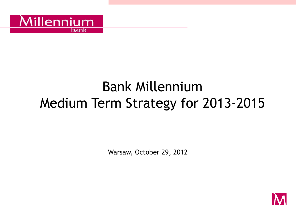

# Bank Millennium Medium Term Strategy for 2013-2015

Warsaw, October 29, 2012

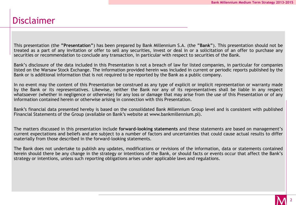# Disclaimer

This presentation (the **"Presentation"**) has been prepared by Bank Millennium S.A. (the **"Bank"**). This presentation should not be treated as a part of any invitation or offer to sell any securities, invest or deal in or a solicitation of an offer to purchase any securities or recommendation to conclude any transaction, in particular with respect to securities of the Bank.

Bank's disclosure of the data included in this Presentation is not a breach of law for listed companies, in particular for companies listed on the Warsaw Stock Exchange. The information provided herein was included in current or periodic reports published by the Bank or is additional information that is not required to be reported by the Bank as a public company.

In no event may the content of this Presentation be construed as any type of explicit or implicit representation or warranty made by the Bank or its representatives. Likewise, neither the Bank nor any of its representatives shall be liable in any respect whatsoever (whether in negligence or otherwise) for any loss or damage that may arise from the use of this Presentation or of any information contained herein or otherwise arising in connection with this Presentation.

Bank's financial data presented hereby is based on the consolidated Bank Millennium Group level and is consistent with published Financial Statements of the Group (available on Bank's website at www.bankmillennium.pl).

The matters discussed in this presentation include **forward-looking statements** and these statements are based on management's current expectations and beliefs and are subject to a number of factors and uncertainties that could cause actual results to differ materially from those described in the forward-looking statements.

The Bank does not undertake to publish any updates, modifications or revisions of the information, data or statements contained herein should there be any change in the strategy or intentions of the Bank, or should facts or events occur that affect the Bank's strategy or intentions, unless such reporting obligations arises under applicable laws and regulations.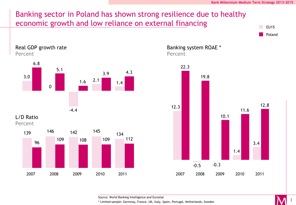

Source: World Banking Intelligence and Eurostat

\* Limited sample: Germnay, France, UK, Italy, Spain, Portugal, Netherlands, Sweden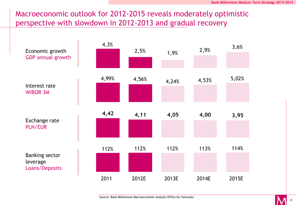# Macroeconomic outlook for 2012-2015 reveals moderately optimistic perspective with slowdown in 2012-2013 and gradual recovery

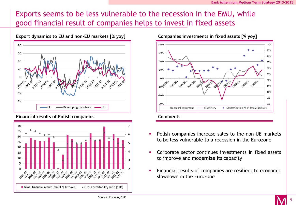# Exports seems to be less vulnerable to the recession in the EMU, while good financial result of companies helps to invest in fixed assets



#### **Financial results of Polish companies**





- Polish companies increase sales to the non-UE markets to be less vulnerable to a recession in the Eurozone
- Corporate sector continues investments in fixed assets to improve and modernize its capacity
- Financial results of companies are resilient to economic slowdown in the Eurozone

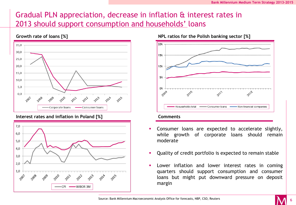# Gradual PLN appreciation, decrease in inflation & interest rates in 2013 should support consumption and households' loans



#### **Interest rates and inflation in Poland [%]**



**Growth rate of loans [%] NPL ratios for the Polish banking sector [%]**



#### **Comments**

- Consumer loans are expected to accelerate slightly, while growth of corporate loans should remain moderate
- Quality of credit portfolio is expected to remain stable
- Lower inflation and lower interest rates in coming quarters should support consumption and consumer loans but might put downward pressure on deposit margin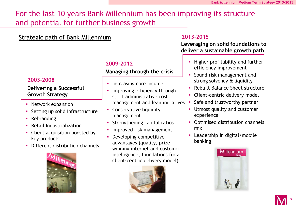# For the last 10 years Bank Millennium has been improving its structure and potential for further business growth

### Strategic path of Bank Millennium

#### **2009-2012**

#### **Managing through the crisis**

- **Increasing core income**
- Improving efficiency through strict administrative cost management and lean initiatives
- **Conservative liquidity** management
- **Strengthening capital ratios**
- Improved risk management
- **•** Developing competitive advantages (quality, prize winning internet and customer intelligence, foundations for a client-centric delivery model)



#### **2013-2015**

#### **Leveraging on solid foundations to deliver a sustainable growth path**

- **Higher profitability and further** efficiency improvement
- Sound risk management and strong solvency & liquidity
- Rebuilt Balance Sheet structure
- Client-centric delivery model
- Safe and trustworthy partner
- **Utmost quality and customer** experience
- **Optimised distribution channels** mix
- **-** Leadership in digital/mobile banking



#### **2003-2008**

#### **Delivering a Successful Growth Strategy**

- **Network expansion**
- Setting up solid infrastructure
- **Rebranding**
- Retail Industrialization
- Client acquisition boosted by key products
- **Different distribution channels**

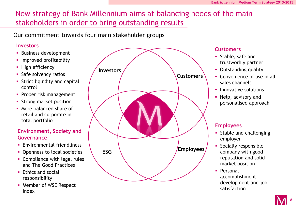# New strategy of Bank Millennium aims at balancing needs of the main stakeholders in order to bring outstanding results

### Our commitment towards four main stakeholder groups

#### **Investors**

- **Business development**
- **Improved profitability**
- **High efficiency**
- **Safe solvency ratios**
- **Strict liquidity and capital** control
- **Proper risk management**
- **Strong market position**
- More balanced share of retail and corporate in total portfolio

#### **Environment, Society and Governance**

- **Environmental friendliness**
- Openness to local societies
- **Compliance with legal rules** and The Good Practices
- **Ethics and social** responsibility
- **Member of WSE Respect** Index



#### **Customers**

- **Stable, safe and** trustworhly partner
- **Outstanding quality**
- **Convenience of use in all** sales channels
- **Innovative solutions**
- **Help, advisory and** personalised approach

#### **Employees**

- **Stable and challenging** employer
- **Socially responsible** company with good reputation and solid market position
- **Personal** accomplishment, development and job satisfaction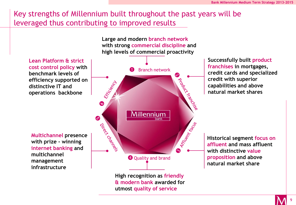# Key strengths of Millennium built throughout the past years will be leveraged thus contributing to improved results



9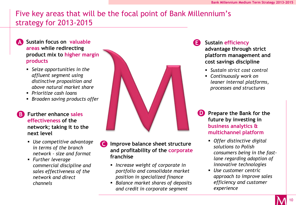# Five key areas that will be the focal point of Bank Millennium's strategy for 2013-2015

**A Sustain focus on valuable areas while redirecting product mix to higher margin products**

- *Seize opportunities in the affluent segment using distinctive proposition and above natural market share*
- *Prioritize cash loans*
- *Broaden saving products offer*

**effectiveness of the network; taking it to the next level**

- *Use competitive advantage in terms of the branch network – size and format*
- *Further leverage commercial discipline and sales effectiveness of the network and direct channels*



- **C Improve balance sheet structure and profitability of the corporate franchise**
	- *Increase weight of corporate in portfolio and consolidate market position in specialized finance*
	- *Balance market shares of deposits and credit in corporate segment*

#### **Sustain efficiency**

**advantage through strict platform management and cost savings discipline**

- *Sustain strict cost control*
- *Continuously work on leaner internal platforms, processes and structures*
- **Prepare the Bank for the future by investing in business analytics & multichannel platform**
	- *Offer distinctive digital solutions to Polish consumers being in the fastlane regarding adoption of innovative technologies*
	- *Use customer centric approach to improve sales efficiency and customer experience*

10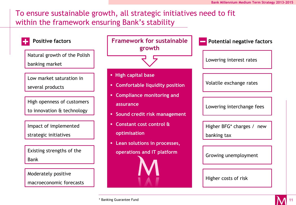# To ensure sustainable growth, all strategic initiatives need to fit within the framework ensuring Bank's stability

| <b>Positive factors</b>                                  | <b>Framework for sustainable</b><br>growth                                              | <b>Potential negative factors</b>           |  |
|----------------------------------------------------------|-----------------------------------------------------------------------------------------|---------------------------------------------|--|
| Natural growth of the Polish<br>banking market           |                                                                                         | Lowering interest rates                     |  |
| Low market saturation in<br>several products             | • High capital base<br><b>Comfortable liquidity position</b><br>п                       | Volatile exchange rates                     |  |
| High openness of customers<br>to innovation & technology | <b>Compliance monitoring and</b><br>٠<br>assurance<br>Sound credit risk management<br>ш | Lowering interchange fees                   |  |
| Impact of implemented<br>strategic initiatives           | Constant cost control &<br>٠<br>optimisation                                            | Higher BFG* charges /<br>new<br>banking tax |  |
| Existing strengths of the<br><b>Bank</b>                 | Lean solutions in processes,<br>operations and IT platform                              | Growing unemployment                        |  |
| Moderately positive<br>macroeconomic forecasts           |                                                                                         | Higher costs of risk                        |  |

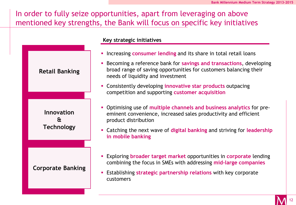# In order to fully seize opportunities, apart from leveraging on above mentioned key strengths, the Bank will focus on specific key initiatives